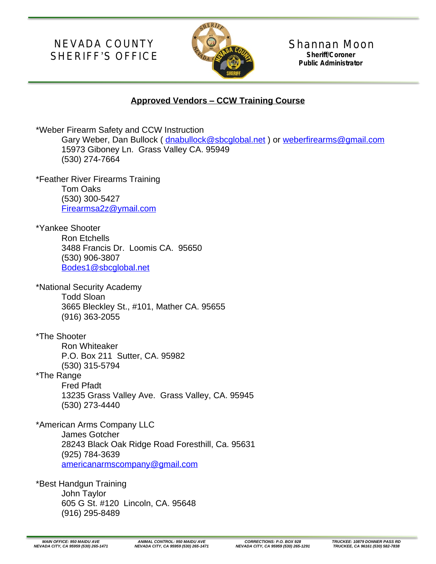NEVADA COUNTY SHERIFF'S OFFICE



Shannan Moon **Sheriff/Coroner Public Administrator**

## **Approved Vendors – CCW Training Course**

| *Weber Firearm Safety and CCW Instruction<br>Gary Weber, Dan Bullock (dnabullock@sbcglobal.net) or weberfirearms@gmail.com<br>15973 Giboney Ln. Grass Valley CA. 95949<br>(530) 274-7664         |
|--------------------------------------------------------------------------------------------------------------------------------------------------------------------------------------------------|
| *Feather River Firearms Training<br><b>Tom Oaks</b><br>(530) 300-5427<br>Firearmsa2z@ymail.com                                                                                                   |
| *Yankee Shooter<br><b>Ron Etchells</b><br>3488 Francis Dr. Loomis CA. 95650<br>(530) 906-3807<br>Bodes1@sbcglobal.net                                                                            |
| *National Security Academy<br><b>Todd Sloan</b><br>3665 Bleckley St., #101, Mather CA. 95655<br>$(916)$ 363-2055                                                                                 |
| *The Shooter<br><b>Ron Whiteaker</b><br>P.O. Box 211 Sutter, CA. 95982<br>(530) 315-5794<br>*The Range<br><b>Fred Pfadt</b><br>13235 Grass Valley Ave. Grass Valley, CA. 95945<br>(530) 273-4440 |
| *American Arms Company LLC<br><b>James Gotcher</b><br>28243 Black Oak Ridge Road Foresthill, Ca. 95631<br>(925) 784-3639<br>americanarmscompany@gmail.com                                        |
| *Best Handgun Training<br>John Taylor                                                                                                                                                            |

605 G St. #120 Lincoln, CA. 95648 (916) 295-8489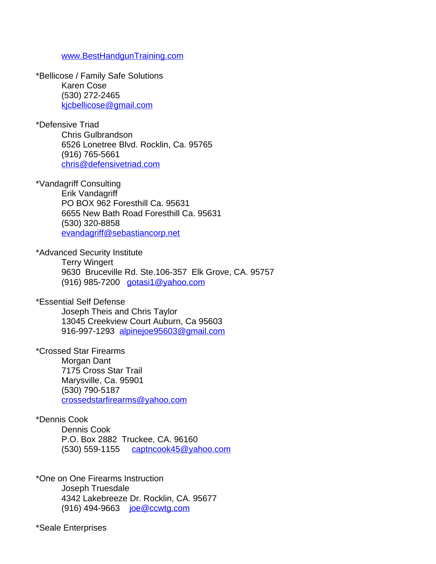## [www.BestHandgunTraining.com](http://www.BestHandgunTraining.com)

\*Bellicose / Family Safe Solutions Karen Cose (530) 272-2465 [kjcbellicose@gmail.com](mailto:kjcbellicose@gmail.com)

\*Defensive Triad

Chris Gulbrandson 6526 Lonetree Blvd. Rocklin, Ca. 95765 (916) 765-5661 [chris@defensivetriad.com](mailto:chris@defensivetriad.com)

\*Vandagriff Consulting

Erik Vandagriff PO BOX 962 Foresthill Ca. 95631 6655 New Bath Road Foresthill Ca. 95631 (530) 320-8858 [evandagriff@sebastiancorp.net](mailto:evandagriff@sebastiancorp.net)

\*Advanced Security Institute

Terry Wingert 9630 Bruceville Rd. Ste.106-357 Elk Grove, CA. 95757 (916) 985-7200 [gotasi1@yahoo.com](mailto:gotasi1@yahoo.com)

\*Essential Self Defense

Joseph Theis and Chris Taylor 13045 Creekview Court Auburn, Ca 95603 916-997-1293 [alpinejoe95603@gmail.com](mailto:alpinejoe95603@gmail.com)

\*Crossed Star Firearms

Morgan Dant 7175 Cross Star Trail Marysville, Ca. 95901 (530) 790-5187 [crossedstarfirearms@yahoo.com](mailto:crossedstarfirearms@yahoo.com)

\*Dennis Cook

Dennis Cook P.O. Box 2882 Truckee, CA. 96160 (530) 559-1155 [captncook45@yahoo.com](mailto:captncook45@yahoo.com)

\*One on One Firearms Instruction Joseph Truesdale 4342 Lakebreeze Dr. Rocklin, CA. 95677 (916) 494-9663 [joe@ccwtg.com](mailto:joe@ccwtg.com)

\*Seale Enterprises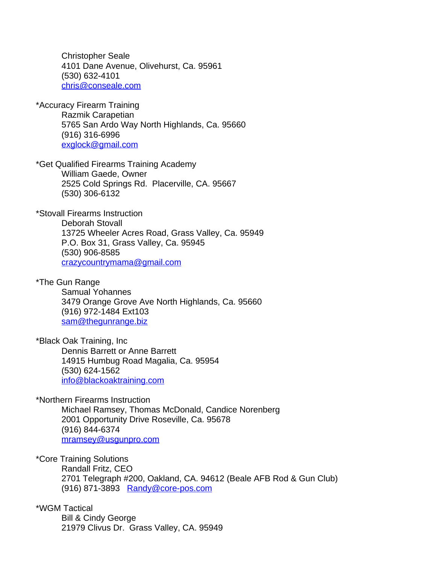Christopher Seale 4101 Dane Avenue, Olivehurst, Ca. 95961 (530) 632-4101 [chris@conseale.com](mailto:chris@conseale.com)

\*Accuracy Firearm Training Razmik Carapetian 5765 San Ardo Way North Highlands, Ca. 95660 (916) 316-6996 [exglock@gmail.com](mailto:exglock@gmail.com)

\*Get Qualified Firearms Training Academy William Gaede, Owner 2525 Cold Springs Rd. Placerville, CA. 95667 (530) 306-6132

\*Stovall Firearms Instruction Deborah Stovall 13725 Wheeler Acres Road, Grass Valley, Ca. 95949 P.O. Box 31, Grass Valley, Ca. 95945 (530) 906-8585 [crazycountrymama@gmail.com](mailto:crazycountrymama@gmail.com)

\*The Gun Range Samual Yohannes 3479 Orange Grove Ave North Highlands, Ca. 95660 (916) 972-1484 Ext103 [sam@thegunrange.biz](mailto:sam@thegunrange.biz)

\*Black Oak Training, Inc Dennis Barrett or Anne Barrett 14915 Humbug Road Magalia, Ca. 95954 (530) 624-1562 [info@blackoaktraining.com](mailto:info@blackoaktraining.com)

\*Northern Firearms Instruction Michael Ramsey, Thomas McDonald, Candice Norenberg 2001 Opportunity Drive Roseville, Ca. 95678 (916) 844-6374 [mramsey@usgunpro.com](mailto:mramsey@usgunpro.com)

\*Core Training Solutions Randall Fritz, CEO 2701 Telegraph #200, Oakland, CA. 94612 (Beale AFB Rod & Gun Club) (916) 871-3893 [Randy@core-pos.com](mailto:Randy@core-pos.com)

\*WGM Tactical Bill & Cindy George 21979 Clivus Dr. Grass Valley, CA. 95949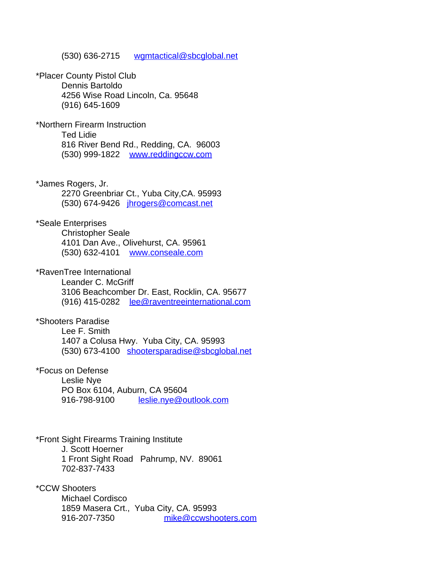(530) 636-2715 [wgmtactical@sbcglobal.net](mailto:wgmtactical@sbcglobal.net)

\*Placer County Pistol Club Dennis Bartoldo 4256 Wise Road Lincoln, Ca. 95648 (916) 645-1609

\*Northern Firearm Instruction Ted Lidie 816 River Bend Rd., Redding, CA. 96003 (530) 999-1822 [www.reddingccw.com](http://www.reddingccw.com)

\*James Rogers, Jr. 2270 Greenbriar Ct., Yuba City,CA. 95993 (530) 674-9426 [jhrogers@comcast.net](mailto:jhrogers@comcast.net)

\*Seale Enterprises Christopher Seale 4101 Dan Ave., Olivehurst, CA. 95961 (530) 632-4101 [www.conseale.com](http://www.conseale.com)

\*RavenTree International Leander C. McGriff 3106 Beachcomber Dr. East, Rocklin, CA. 95677 (916) 415-0282 [lee@raventreeinternational.com](mailto:lee@raventreeinternational.com)

\*Shooters Paradise Lee F. Smith 1407 a Colusa Hwy. Yuba City, CA. 95993 (530) 673-4100 [shootersparadise@sbcglobal.net](mailto:shootersparadise@sbcglobal.net)

\*Focus on Defense Leslie Nye PO Box 6104, Auburn, CA 95604 916-798-9100 [leslie.nye@outlook.com](mailto:leslie.nye@outlook.com)

\*Front Sight Firearms Training Institute J. Scott Hoerner 1 Front Sight Road Pahrump, NV. 89061 702-837-7433

\*CCW Shooters Michael Cordisco 1859 Masera Crt., Yuba City, CA. 95993 916-207-7350 [mike@ccwshooters.com](mailto:mike@ccwshooters.com)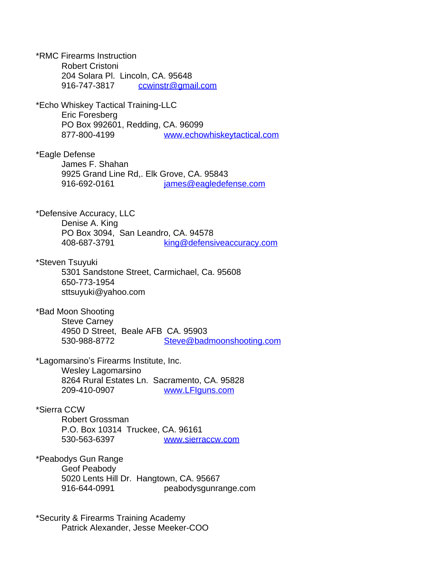\*RMC Firearms Instruction Robert Cristoni 204 Solara Pl. Lincoln, CA. 95648 916-747-3817 [ccwinstr@gmail.com](mailto:ccwinstr@gmail.com) \*Echo Whiskey Tactical Training-LLC Eric Foresberg PO Box 992601, Redding, CA. 96099 877-800-4199 [www.echowhiskeytactical.com](http://www.echowhiskeytactical.com) \*Eagle Defense James F. Shahan 9925 Grand Line Rd,. Elk Grove, CA. 95843 916-692-0161 [james@eagledefense.com](mailto:james@eagledefense.com) \*Defensive Accuracy, LLC Denise A. King PO Box 3094, San Leandro, CA. 94578 408-687-3791 [king@defensiveaccuracy.com](mailto:king@defensiveaccuracy.com) \*Steven Tsuyuki 5301 Sandstone Street, Carmichael, Ca. 95608 650-773-1954 sttsuyuki@yahoo.com \*Bad Moon Shooting Steve Carney 4950 D Street, Beale AFB CA. 95903 530-988-8772 [Steve@badmoonshooting.com](mailto:Steve@badmoonshooting.com) \*Lagomarsino's Firearms Institute, Inc. Wesley Lagomarsino 8264 Rural Estates Ln. Sacramento, CA. 95828 209-410-0907 [www.LFIguns.com](http://www.LFIguns.com) \*Sierra CCW Robert Grossman P.O. Box 10314 Truckee, CA. 96161 530-563-6397 [www.sierraccw.com](http://www.sierraccw.com) \*Peabodys Gun Range Geof Peabody 5020 Lents Hill Dr. Hangtown, CA. 95667 916-644-0991 peabodysgunrange.com \*Security & Firearms Training Academy

Patrick Alexander, Jesse Meeker-COO